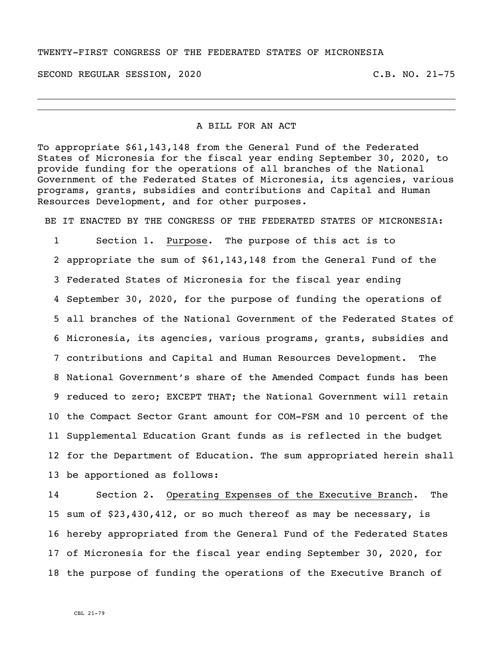#### TWENTY-FIRST CONGRESS OF THE FEDERATED STATES OF MICRONESIA

SECOND REGULAR SESSION, 2020 C.B. NO. 21-75

#### A BILL FOR AN ACT

To appropriate \$61,143,148 from the General Fund of the Federated States of Micronesia for the fiscal year ending September 30, 2020, to provide funding for the operations of all branches of the National Government of the Federated States of Micronesia, its agencies, various programs, grants, subsidies and contributions and Capital and Human Resources Development, and for other purposes.

BE IT ENACTED BY THE CONGRESS OF THE FEDERATED STATES OF MICRONESIA:

 Section 1. Purpose. The purpose of this act is to appropriate the sum of \$61,143,148 from the General Fund of the Federated States of Micronesia for the fiscal year ending September 30, 2020, for the purpose of funding the operations of all branches of the National Government of the Federated States of Micronesia, its agencies, various programs, grants, subsidies and contributions and Capital and Human Resources Development. The National Government's share of the Amended Compact funds has been reduced to zero; EXCEPT THAT; the National Government will retain the Compact Sector Grant amount for COM-FSM and 10 percent of the Supplemental Education Grant funds as is reflected in the budget for the Department of Education. The sum appropriated herein shall be apportioned as follows:

 Section 2. Operating Expenses of the Executive Branch. The sum of \$23,430,412, or so much thereof as may be necessary, is hereby appropriated from the General Fund of the Federated States of Micronesia for the fiscal year ending September 30, 2020, for the purpose of funding the operations of the Executive Branch of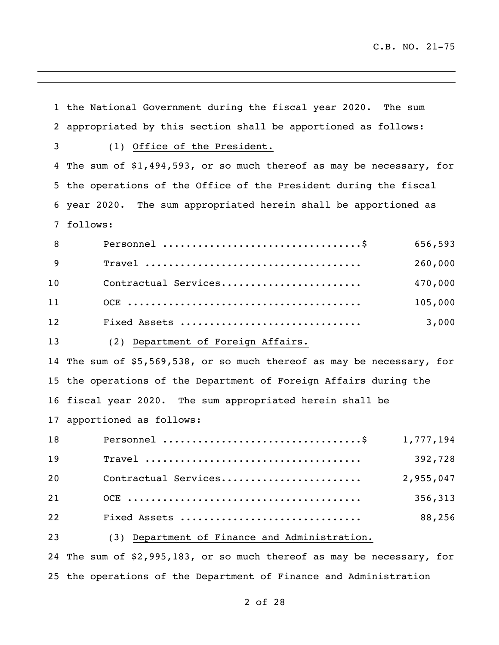the National Government during the fiscal year 2020. The sum appropriated by this section shall be apportioned as follows: (1) Office of the President. The sum of \$1,494,593, or so much thereof as may be necessary, for the operations of the Office of the President during the fiscal year 2020. The sum appropriated herein shall be apportioned as follows: Personnel ..................................\$ 656,593 Travel ..................................... 260,000 Contractual Services........................ 470,000 OCE ........................................ 105,000 Fixed Assets ............................... 3,000 (2) Department of Foreign Affairs. The sum of \$5,569,538, or so much thereof as may be necessary, for the operations of the Department of Foreign Affairs during the fiscal year 2020. The sum appropriated herein shall be apportioned as follows: Personnel ..................................\$ 1,777,194 Travel ..................................... 392,728 Contractual Services........................ 2,955,047 OCE ........................................ 356,313 Fixed Assets ............................... 88,256 (3) Department of Finance and Administration. The sum of \$2,995,183, or so much thereof as may be necessary, for the operations of the Department of Finance and Administration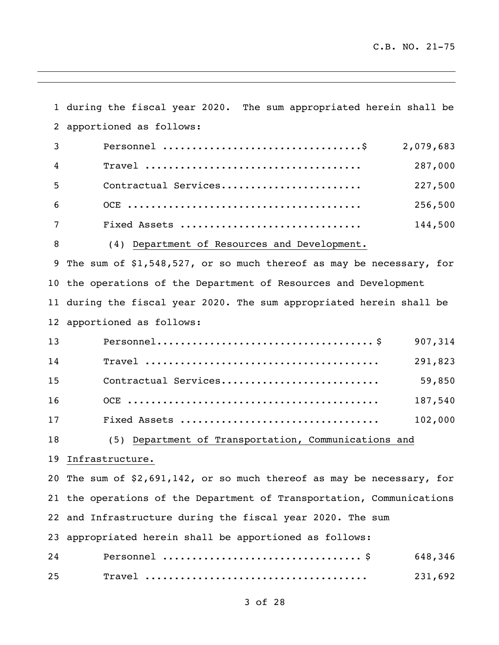during the fiscal year 2020. The sum appropriated herein shall be apportioned as follows: Personnel ..................................\$ 2,079,683 Travel ..................................... 287,000 Contractual Services........................ 227,500 OCE ........................................ 256,500 Fixed Assets ............................... 144,500 8 (4) Department of Resources and Development. The sum of \$1,548,527, or so much thereof as may be necessary, for the operations of the Department of Resources and Development during the fiscal year 2020. The sum appropriated herein shall be apportioned as follows: Personnel..................................... \$ 907,314 Travel ........................................ 291,823 Contractual Services........................... 59,850 OCE ........................................... 187,540 Fixed Assets .................................. 102,000 (5) Department of Transportation, Communications and Infrastructure. The sum of \$2,691,142**,** or so much thereof as may be necessary, for the operations of the Department of Transportation, Communications and Infrastructure during the fiscal year 2020. The sum appropriated herein shall be apportioned as follows: Personnel .................................. \$ 648,346 Travel ...................................... 231,692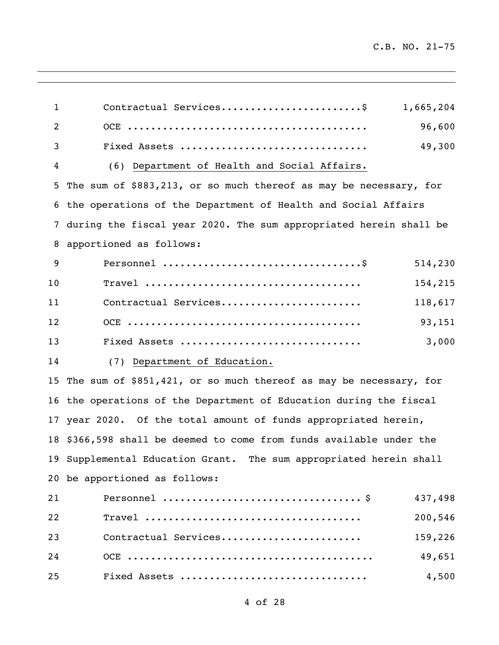$\mathbb{R}^2$ 

| $\mathbf{1}$   | Contractual Services\$<br>1,665,204                                  |  |  |
|----------------|----------------------------------------------------------------------|--|--|
| $\overline{2}$ | 96,600                                                               |  |  |
| 3              | 49,300<br>Fixed Assets                                               |  |  |
| 4              | (6) Department of Health and Social Affairs.                         |  |  |
| 5              | The sum of \$883,213, or so much thereof as may be necessary, for    |  |  |
|                | 6 the operations of the Department of Health and Social Affairs      |  |  |
| 7              | during the fiscal year 2020. The sum appropriated herein shall be    |  |  |
| 8              | apportioned as follows:                                              |  |  |
| 9              | 514,230                                                              |  |  |
| 10             | 154,215                                                              |  |  |
| 11             | Contractual Services<br>118,617                                      |  |  |
| 12             | 93,151                                                               |  |  |
| 13             | 3,000<br>Fixed Assets                                                |  |  |
| 14             | (7) Department of Education.                                         |  |  |
|                | 15 The sum of \$851,421, or so much thereof as may be necessary, for |  |  |
|                | 16 the operations of the Department of Education during the fiscal   |  |  |
|                | 17 year 2020. Of the total amount of funds appropriated herein,      |  |  |
|                | 18 \$366,598 shall be deemed to come from funds available under the  |  |  |
|                | 19 Supplemental Education Grant. The sum appropriated herein shall   |  |  |
| 20             | be apportioned as follows:                                           |  |  |
| 21             | 437,498                                                              |  |  |
| 22             | 200,546                                                              |  |  |
| 23             | Contractual Services<br>159,226                                      |  |  |
| 24             | 49,651                                                               |  |  |
| 25             | Fixed Assets<br>4,500                                                |  |  |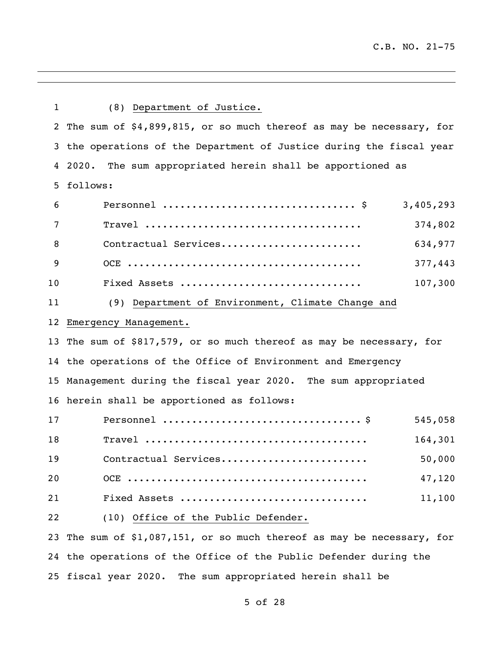| $\mathbf{1}$      | (8) Department of Justice.                                            |  |  |  |
|-------------------|-----------------------------------------------------------------------|--|--|--|
|                   | 2 The sum of \$4,899,815, or so much thereof as may be necessary, for |  |  |  |
|                   | 3 the operations of the Department of Justice during the fiscal year  |  |  |  |
|                   | 4 2020. The sum appropriated herein shall be apportioned as           |  |  |  |
| 5                 | follows:                                                              |  |  |  |
| 6                 | 3,405,293                                                             |  |  |  |
| 7                 | 374,802                                                               |  |  |  |
| 8                 | Contractual Services<br>634,977                                       |  |  |  |
| 9                 | 377,443                                                               |  |  |  |
| 10                | 107,300<br>Fixed Assets                                               |  |  |  |
| 11                | (9) Department of Environment, Climate Change and                     |  |  |  |
| $12 \overline{ }$ | Emergency Management.                                                 |  |  |  |
|                   | 13 The sum of \$817,579, or so much thereof as may be necessary, for  |  |  |  |
|                   | 14 the operations of the Office of Environment and Emergency          |  |  |  |
|                   | 15 Management during the fiscal year 2020. The sum appropriated       |  |  |  |
|                   | 16 herein shall be apportioned as follows:                            |  |  |  |
| 17                | 545,058                                                               |  |  |  |
| 18                | 164,301                                                               |  |  |  |
| 19                | Contractual Services<br>50,000                                        |  |  |  |
| 20                | 47,120                                                                |  |  |  |
| 21                | 11,100<br>Fixed Assets                                                |  |  |  |
| 22                | (10) Office of the Public Defender.                                   |  |  |  |
| 23                | The sum of \$1,087,151, or so much thereof as may be necessary, for   |  |  |  |
|                   | 24 the operations of the Office of the Public Defender during the     |  |  |  |
|                   | 25 fiscal year 2020. The sum appropriated herein shall be             |  |  |  |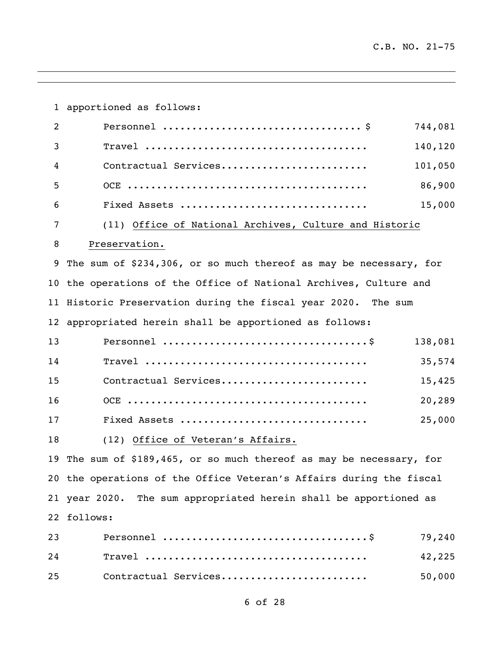apportioned as follows: Personnel .................................. \$ 744,081 Travel ...................................... 140,120 Contractual Services......................... 101,050 OCE ......................................... 86,900 Fixed Assets ................................ 15,000 (11) Office of National Archives, Culture and Historic Preservation. The sum of \$234,306, or so much thereof as may be necessary, for the operations of the Office of National Archives, Culture and Historic Preservation during the fiscal year 2020. The sum appropriated herein shall be apportioned as follows: Personnel ...................................\$ 138,081 Travel ...................................... 35,574 Contractual Services......................... 15,425 OCE ......................................... 20,289 Fixed Assets ................................ 25,000 (12) Office of Veteran's Affairs. The sum of \$189,465, or so much thereof as may be necessary, for the operations of the Office Veteran's Affairs during the fiscal year 2020. The sum appropriated herein shall be apportioned as follows: Personnel ...................................\$ 79,240 Travel ...................................... 42,225 Contractual Services......................... 50,000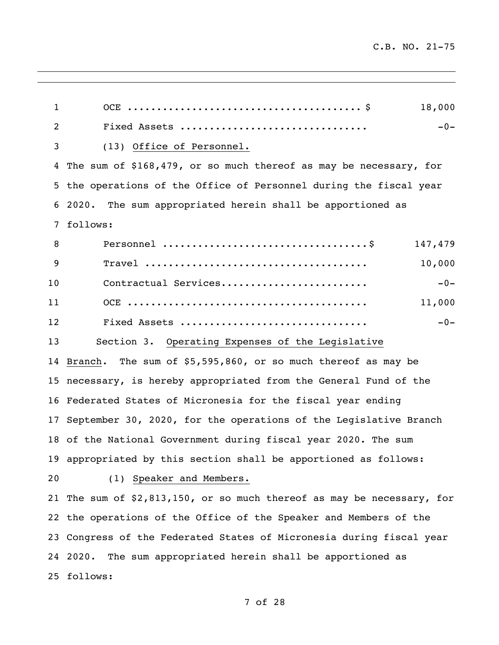$\overline{\phantom{a}}$ 

| $\mathbf{1}$ | 18,000                                                                 |
|--------------|------------------------------------------------------------------------|
| 2            | Fixed Assets<br>$-0-$                                                  |
| 3            | (13) Office of Personnel.                                              |
| 4            | The sum of \$168,479, or so much thereof as may be necessary, for      |
| 5            | the operations of the Office of Personnel during the fiscal year       |
| 6            | The sum appropriated herein shall be apportioned as<br>2020.           |
| 7            | follows:                                                               |
| 8            | 147,479                                                                |
| 9            | 10,000                                                                 |
| 10           | Contractual Services<br>$-0-$                                          |
| 11           | 11,000                                                                 |
| 12           | Fixed Assets<br>$-0-$                                                  |
| 13           | Section 3. Operating Expenses of the Legislative                       |
| 14           | Branch. The sum of \$5,595,860, or so much thereof as may be           |
| 15           | necessary, is hereby appropriated from the General Fund of the         |
| 16           | Federated States of Micronesia for the fiscal year ending              |
| 17           | September 30, 2020, for the operations of the Legislative Branch       |
|              | 18 of the National Government during fiscal year 2020. The sum         |
|              | 19 appropriated by this section shall be apportioned as follows:       |
| 20           | (1) Speaker and Members.                                               |
|              | 21 The sum of \$2,813,150, or so much thereof as may be necessary, for |
|              | 22 the operations of the Office of the Speaker and Members of the      |
|              | 23 Congress of the Federated States of Micronesia during fiscal year   |
|              | 24 2020.<br>The sum appropriated herein shall be apportioned as        |
|              | 25 follows:                                                            |
|              |                                                                        |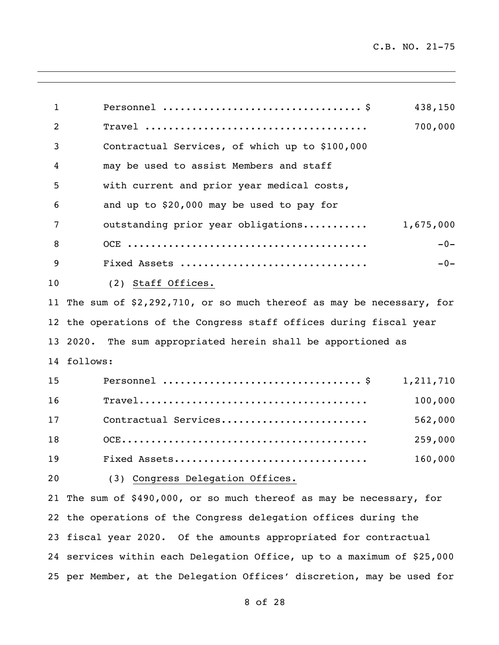Personnel .................................. \$ 438,150 Travel ...................................... 700,000 Contractual Services, of which up to \$100,000 may be used to assist Members and staff with current and prior year medical costs, and up to \$20,000 may be used to pay for 7 outstanding prior year obligations........... 1,675,000 OCE ......................................... -0- Fixed Assets ................................ -0- (2) Staff Offices. The sum of \$2,292,710, or so much thereof as may be necessary, for the operations of the Congress staff offices during fiscal year 2020. The sum appropriated herein shall be apportioned as follows: Personnel .................................. \$ 1,211,710 Travel....................................... 100,000 Contractual Services......................... 562,000 OCE.......................................... 259,000 Fixed Assets................................. 160,000 (3) Congress Delegation Offices. The sum of \$490,000, or so much thereof as may be necessary, for the operations of the Congress delegation offices during the fiscal year 2020. Of the amounts appropriated for contractual services within each Delegation Office, up to a maximum of \$25,000 per Member, at the Delegation Offices' discretion, may be used for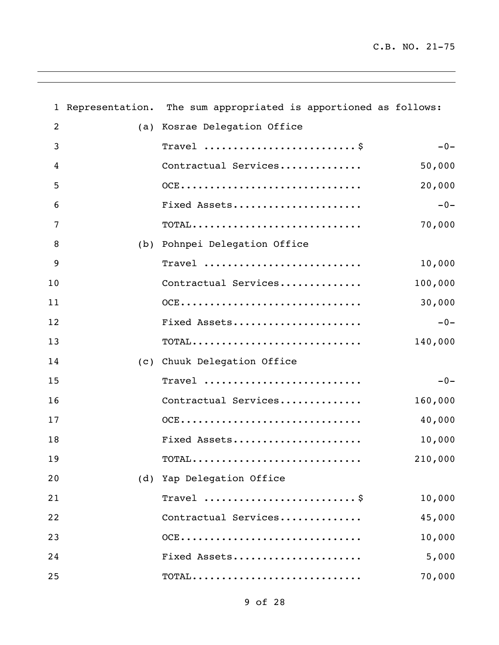$\overline{\phantom{a}}$ 

|    | 1 Representation. The sum appropriated is apportioned as follows:                  |         |
|----|------------------------------------------------------------------------------------|---------|
| 2  | (a) Kosrae Delegation Office                                                       |         |
| 3  | Travel  \$                                                                         | $-0-$   |
| 4  | Contractual Services                                                               | 50,000  |
| 5  | $OCE$                                                                              | 20,000  |
| 6  | Fixed Assets                                                                       | $-0-$   |
| 7  | $\texttt{TOTAL} \dots \dots \dots \dots \dots \dots \dots \dots \dots \dots \dots$ | 70,000  |
| 8  | (b) Pohnpei Delegation Office                                                      |         |
| 9  | $Travel$                                                                           | 10,000  |
| 10 | Contractual Services                                                               | 100,000 |
| 11 | $OCE$                                                                              | 30,000  |
| 12 | Fixed Assets                                                                       | $-0-$   |
| 13 | $\texttt{TOTAL} \dots \dots \dots \dots \dots \dots \dots \dots \dots \dots \dots$ | 140,000 |
| 14 | (c) Chuuk Delegation Office                                                        |         |
| 15 | Travel                                                                             | $-0-$   |
| 16 | Contractual Services                                                               | 160,000 |
| 17 | OCE                                                                                | 40,000  |
| 18 | Fixed Assets                                                                       | 10,000  |
| 19 | $\texttt{TOTAL}\dots\dots\dots\dots\dots\dots\dots\dots\dots\dots\dots$            | 210,000 |
| 20 | (d) Yap Delegation Office                                                          |         |
| 21 | Travel                                                                             | 10,000  |
| 22 | Contractual Services                                                               | 45,000  |
| 23 | $OCE$                                                                              | 10,000  |
| 24 | Fixed Assets                                                                       | 5,000   |
| 25 |                                                                                    | 70,000  |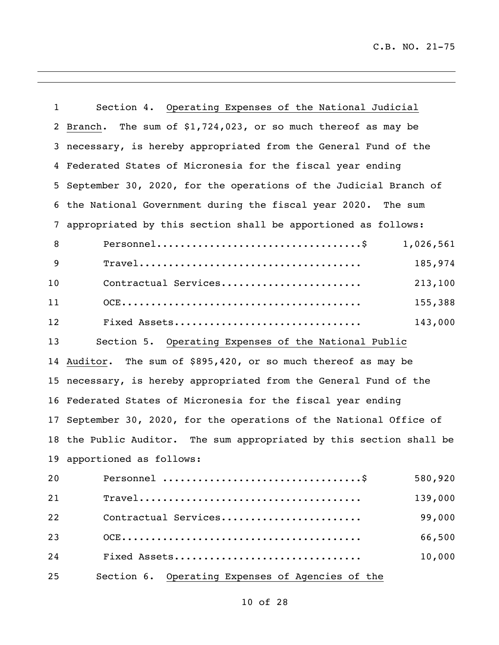$\mathbb{R}^2$ 

 $\overline{a}$ 

| $\mathbf{1}$ | Section 4. Operating Expenses of the National Judicial                                                           |  |  |
|--------------|------------------------------------------------------------------------------------------------------------------|--|--|
| 2            | Branch. The sum of $$1,724,023$ , or so much thereof as may be                                                   |  |  |
| 3            | necessary, is hereby appropriated from the General Fund of the                                                   |  |  |
| 4            | Federated States of Micronesia for the fiscal year ending                                                        |  |  |
| 5            | September 30, 2020, for the operations of the Judicial Branch of                                                 |  |  |
| 6            | the National Government during the fiscal year 2020. The sum                                                     |  |  |
| 7            | appropriated by this section shall be apportioned as follows:                                                    |  |  |
| 8            | 1,026,561                                                                                                        |  |  |
| 9            | 185,974<br>$\texttt{Travel} \dots \dots \dots \dots \dots \dots \dots \dots \dots \dots \dots \dots \dots \dots$ |  |  |
| 10           | Contractual Services<br>213,100                                                                                  |  |  |
| 11           | 155,388                                                                                                          |  |  |
| 12           | 143,000<br>Fixed Assets                                                                                          |  |  |
| 13           | Section 5. Operating Expenses of the National Public                                                             |  |  |
|              | 14 Auditor. The sum of \$895,420, or so much thereof as may be                                                   |  |  |
|              | 15 necessary, is hereby appropriated from the General Fund of the                                                |  |  |
|              | 16 Federated States of Micronesia for the fiscal year ending                                                     |  |  |
|              | 17 September 30, 2020, for the operations of the National Office of                                              |  |  |
|              | 18 the Public Auditor. The sum appropriated by this section shall be                                             |  |  |
|              | 19 apportioned as follows:                                                                                       |  |  |
| 20           | 580,920                                                                                                          |  |  |
| 21           | 139,000                                                                                                          |  |  |
| 22           | 99,000<br>Contractual Services                                                                                   |  |  |
| 23           | 66,500                                                                                                           |  |  |
| 24           | 10,000<br>Fixed Assets                                                                                           |  |  |
| 25           | Section 6. Operating Expenses of Agencies of the                                                                 |  |  |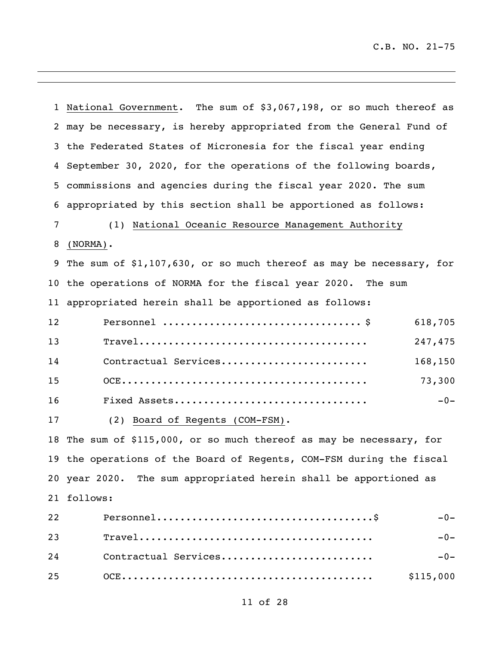$\mathbb{R}^2$ 

 $\overline{\phantom{0}}$ 

|    | 1 National Government. The sum of \$3,067,198, or so much thereof as  |  |  |  |  |
|----|-----------------------------------------------------------------------|--|--|--|--|
|    | 2 may be necessary, is hereby appropriated from the General Fund of   |  |  |  |  |
|    | 3 the Federated States of Micronesia for the fiscal year ending       |  |  |  |  |
| 4  | September 30, 2020, for the operations of the following boards,       |  |  |  |  |
| 5  | commissions and agencies during the fiscal year 2020. The sum         |  |  |  |  |
| 6  | appropriated by this section shall be apportioned as follows:         |  |  |  |  |
| 7  | (1) National Oceanic Resource Management Authority                    |  |  |  |  |
| 8  | $(NORMA)$ .                                                           |  |  |  |  |
|    | 9 The sum of \$1,107,630, or so much thereof as may be necessary, for |  |  |  |  |
|    | 10 the operations of NORMA for the fiscal year 2020. The sum          |  |  |  |  |
|    | 11 appropriated herein shall be apportioned as follows:               |  |  |  |  |
| 12 | 618,705                                                               |  |  |  |  |
| 13 | 247,475                                                               |  |  |  |  |
| 14 | Contractual Services<br>168,150                                       |  |  |  |  |
| 15 | 73,300                                                                |  |  |  |  |
| 16 | $-0-$<br>Fixed Assets                                                 |  |  |  |  |
| 17 | (2) Board of Regents (COM-FSM).                                       |  |  |  |  |
|    | 18 The sum of \$115,000, or so much thereof as may be necessary, for  |  |  |  |  |
|    | 19 the operations of the Board of Regents, COM-FSM during the fiscal  |  |  |  |  |
|    | 20 year 2020. The sum appropriated herein shall be apportioned as     |  |  |  |  |
| 21 | follows:                                                              |  |  |  |  |
| 22 | $-0-$                                                                 |  |  |  |  |
| 23 | $-0-$                                                                 |  |  |  |  |
| 24 | Contractual Services<br>$-0-$                                         |  |  |  |  |
| 25 | \$115,000                                                             |  |  |  |  |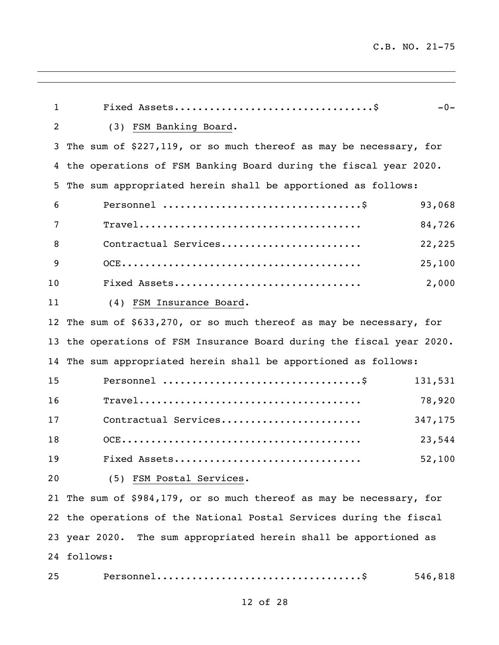| $\mathbf{1}$   | $-0-$                                                                |
|----------------|----------------------------------------------------------------------|
| $\overline{2}$ | (3) FSM Banking Board.                                               |
| 3              | The sum of \$227,119, or so much thereof as may be necessary, for    |
| 4              | the operations of FSM Banking Board during the fiscal year 2020.     |
| 5              | The sum appropriated herein shall be apportioned as follows:         |
| 6              | 93,068                                                               |
| 7              | 84,726                                                               |
| 8              | Contractual Services<br>22,225                                       |
| 9              | 25,100                                                               |
| 10             | Fixed Assets<br>2,000                                                |
| 11             | (4) FSM Insurance Board.                                             |
| 12             | The sum of \$633,270, or so much thereof as may be necessary, for    |
| 13             | the operations of FSM Insurance Board during the fiscal year 2020.   |
| 14             | The sum appropriated herein shall be apportioned as follows:         |
| 15             | 131,531                                                              |
| 16             | 78,920                                                               |
| 17             | Contractual Services<br>347,175                                      |
| 18             | 23,544                                                               |
| 19             | Fixed Assets<br>52,100                                               |
| 20             | (5) FSM Postal Services.                                             |
|                | 21 The sum of \$984,179, or so much thereof as may be necessary, for |
|                | 22 the operations of the National Postal Services during the fiscal  |
|                | 23 year 2020. The sum appropriated herein shall be apportioned as    |
|                | 24 follows:                                                          |
| 25             | 546,818                                                              |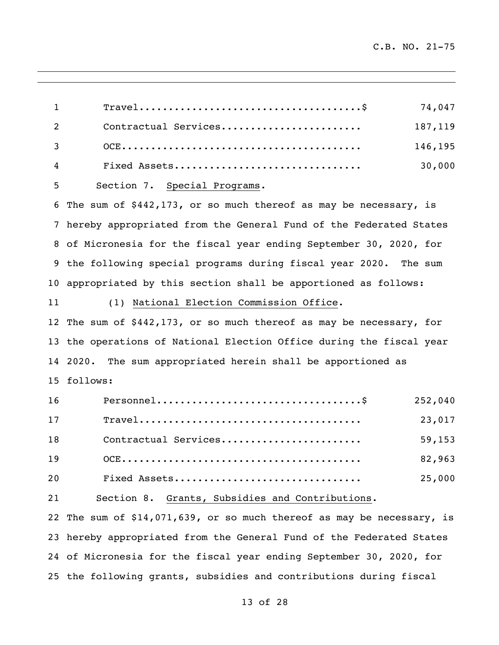| $\mathbf{1}$ | $\texttt{True}1 \dots \dots \dots \dots \dots \dots \dots \dots \dots \dots \dots \dots \dots$<br>74,047       |
|--------------|----------------------------------------------------------------------------------------------------------------|
| 2            | Contractual Services<br>187,119                                                                                |
| 3            | 146,195                                                                                                        |
| 4            | 30,000<br>Fixed Assets                                                                                         |
| 5            | Section 7. Special Programs.                                                                                   |
| 6            | The sum of \$442,173, or so much thereof as may be necessary, is                                               |
|              | 7 hereby appropriated from the General Fund of the Federated States                                            |
|              | 8 of Micronesia for the fiscal year ending September 30, 2020, for                                             |
|              | 9 the following special programs during fiscal year 2020. The sum                                              |
|              | 10 appropriated by this section shall be apportioned as follows:                                               |
| 11           | (1) National Election Commission Office.                                                                       |
|              | 12 The sum of \$442,173, or so much thereof as may be necessary, for                                           |
|              | 13 the operations of National Election Office during the fiscal year                                           |
|              | 14 2020. The sum appropriated herein shall be apportioned as                                                   |
|              | 15 follows:                                                                                                    |
| 16           | 252,040                                                                                                        |
| 17           | $\texttt{True}1 \dots \dots \dots \dots \dots \dots \dots \dots \dots \dots \dots \dots \dots \dots$<br>23,017 |
| 18           | Contractual Services<br>59,153                                                                                 |
| 19           | 82,963                                                                                                         |
| 20           | Fixed Assets<br>25,000                                                                                         |
| 21           | Section 8. Grants, Subsidies and Contributions.                                                                |
| 22           | The sum of \$14,071,639, or so much thereof as may be necessary, is                                            |
| 23           | hereby appropriated from the General Fund of the Federated States                                              |
|              | 24 of Micronesia for the fiscal year ending September 30, 2020, for                                            |

the following grants, subsidies and contributions during fiscal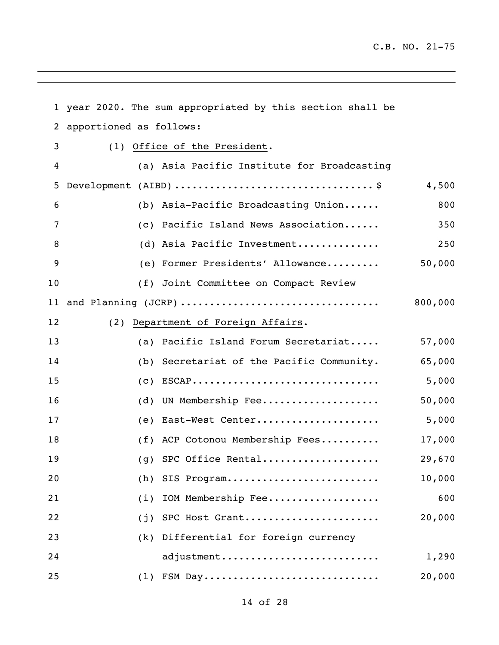$\mathbb{R}^2$ 

 $\overline{\phantom{0}}$ 

|    |                         | 1 year 2020. The sum appropriated by this section shall be                   |         |
|----|-------------------------|------------------------------------------------------------------------------|---------|
| 2  | apportioned as follows: |                                                                              |         |
| 3  |                         | (1) Office of the President.                                                 |         |
| 4  |                         | (a) Asia Pacific Institute for Broadcasting                                  |         |
| 5  |                         | Development (AIBD) $\dots\dots\dots\dots\dots\dots\dots\dots\dots\dots\dots$ | 4,500   |
| 6  |                         | (b) Asia-Pacific Broadcasting Union                                          | 800     |
| 7  |                         | (c) Pacific Island News Association                                          | 350     |
| 8  |                         | (d) Asia Pacific Investment                                                  | 250     |
| 9  |                         | (e) Former Presidents' Allowance                                             | 50,000  |
| 10 |                         | (f) Joint Committee on Compact Review                                        |         |
|    |                         | 11 and Planning (JCRP)                                                       | 800,000 |
| 12 |                         | (2) Department of Foreign Affairs.                                           |         |
| 13 |                         | (a) Pacific Island Forum Secretariat                                         | 57,000  |
| 14 |                         | (b) Secretariat of the Pacific Community.                                    | 65,000  |
| 15 |                         | $(c)$ ESCAP                                                                  | 5,000   |
| 16 |                         | (d) UN Membership Fee                                                        | 50,000  |
| 17 |                         | (e) East-West Center                                                         | 5,000   |
| 18 |                         | (f) ACP Cotonou Membership Fees                                              | 17,000  |
| 19 |                         | (g) SPC Office Rental                                                        | 29,670  |
| 20 | (h)                     | SIS Program                                                                  | 10,000  |
| 21 | (i)                     | IOM Membership Fee                                                           | 600     |
| 22 | (j)                     | SPC Host Grant                                                               | 20,000  |
| 23 | (k)                     | Differential for foreign currency                                            |         |
| 24 |                         | adjustment                                                                   | 1,290   |
| 25 | (1)                     | FSM Day                                                                      | 20,000  |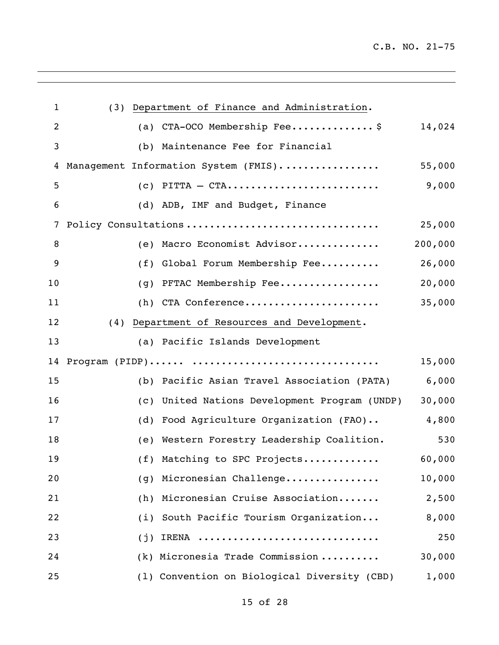$\mathcal{L}^{\text{max}}$  .

| $\mathbf{1}$   | (3) Department of Finance and Administration.    |         |
|----------------|--------------------------------------------------|---------|
| $\overline{2}$ | (a) CTA-OCO Membership Fee\$                     | 14,024  |
| 3              | Maintenance Fee for Financial<br>(b)             |         |
| 4              | Management Information System (FMIS)             | 55,000  |
| 5              | $(c)$ PITTA - CTA                                | 9,000   |
| 6              | (d) ADB, IMF and Budget, Finance                 |         |
| 7              | Policy Consultations                             | 25,000  |
| 8              | (e) Macro Economist Advisor                      | 200,000 |
| 9              | Global Forum Membership Fee<br>(f)               | 26,000  |
| 10             | PFTAC Membership Fee<br>(g)                      | 20,000  |
| 11             | (h) CTA Conference                               | 35,000  |
| 12             | (4) Department of Resources and Development.     |         |
| 13             | (a) Pacific Islands Development                  |         |
| 14             |                                                  | 15,000  |
| 15             | (b) Pacific Asian Travel Association (PATA)      | 6,000   |
| 16             | United Nations Development Program (UNDP)<br>(C) | 30,000  |
| 17             | Food Agriculture Organization (FAO)<br>(d)       | 4,800   |
| 18             | (e) Western Forestry Leadership Coalition.       | 530     |
| 19             | (f) Matching to SPC Projects                     | 60,000  |
| 20             | Micronesian Challenge<br>(g)                     | 10,000  |
| 21             | Micronesian Cruise Association<br>(h)            | 2,500   |
| 22             | South Pacific Tourism Organization<br>(i)        | 8,000   |
| 23             | IRENA<br>(j)                                     | 250     |
| 24             | $(k)$ Micronesia Trade Commission                | 30,000  |
| 25             | (1) Convention on Biological Diversity (CBD)     | 1,000   |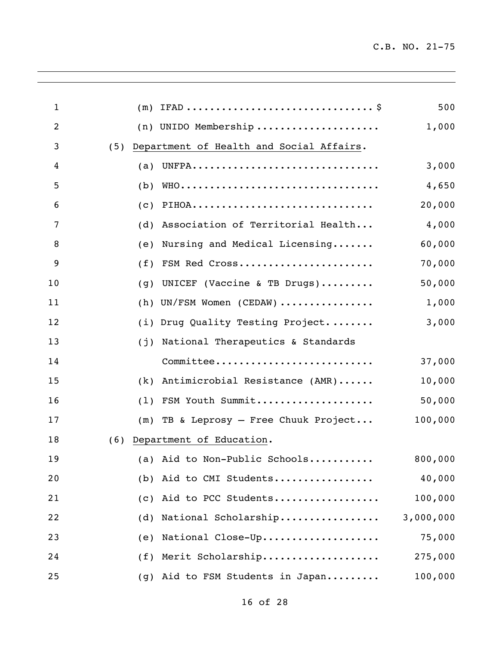$\mathbb{R}^2$ 

 $\overline{a}$ 

| $\mathbf 1$ |     |                                          | 500       |
|-------------|-----|------------------------------------------|-----------|
| 2           |     | $(n)$ UNIDO Membership                   | 1,000     |
| 3           | (5) | Department of Health and Social Affairs. |           |
| 4           |     | (a) UNFPA                                | 3,000     |
| 5           |     | $(b)$ WHO                                | 4,650     |
| 6           |     | $(c)$ PIHOA                              | 20,000    |
| 7           |     | (d) Association of Territorial Health    | 4,000     |
| 8           | (e) | Nursing and Medical Licensing            | 60,000    |
| 9           |     | (f) FSM Red Cross                        | 70,000    |
| 10          |     | (g) UNICEF (Vaccine & TB Drugs)          | 50,000    |
| 11          |     | $(h)$ UN/FSM Women (CEDAW)               | 1,000     |
| 12          |     | (i) Drug Quality Testing Project         | 3,000     |
| 13          |     | (j) National Therapeutics & Standards    |           |
| 14          |     | Committee                                | 37,000    |
| 15          |     | $(k)$ Antimicrobial Resistance $(AMR)$   | 10,000    |
| 16          |     | (1) FSM Youth Summit                     | 50,000    |
| 17          |     | $(m)$ TB & Leprosy - Free Chuuk Project  | 100,000   |
| 18          | (6) | Department of Education.                 |           |
| 19          | (a) | Aid to Non-Public Schools                | 800,000   |
| 20          | (b) | Aid to CMI Students                      | 40,000    |
| 21          | (C) | Aid to PCC Students                      | 100,000   |
| 22          | (d) | National Scholarship                     | 3,000,000 |
| 23          | (e) | National Close-Up                        | 75,000    |
| 24          | (f) | Merit Scholarship                        | 275,000   |
| 25          | (g) | Aid to FSM Students in Japan             | 100,000   |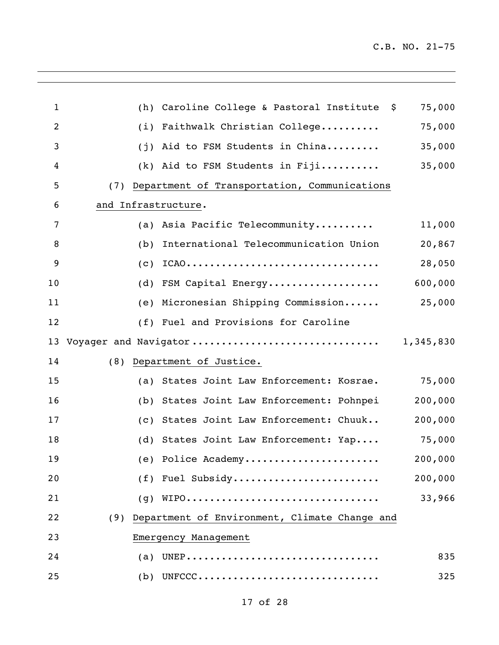$\mathcal{L}^{\text{max}}$  .

 $\overline{a}$ 

| 1  | (h)                 | Caroline College & Pastoral Institute \$         | 75,000    |
|----|---------------------|--------------------------------------------------|-----------|
| 2  |                     | (i) Faithwalk Christian College                  | 75,000    |
| 3  |                     | (j) Aid to FSM Students in China                 | 35,000    |
| 4  |                     | $(k)$ Aid to FSM Students in Fiji                | 35,000    |
| 5  |                     | (7) Department of Transportation, Communications |           |
| 6  | and Infrastructure. |                                                  |           |
| 7  |                     | (a) Asia Pacific Telecommunity                   | 11,000    |
| 8  | (b)                 | International Telecommunication Union            | 20,867    |
| 9  | (C)                 | $ICAO$                                           | 28,050    |
| 10 |                     | (d) FSM Capital Energy                           | 600,000   |
| 11 |                     | (e) Micronesian Shipping Commission              | 25,000    |
| 12 |                     | (f) Fuel and Provisions for Caroline             |           |
| 13 |                     | Voyager and Navigator                            | 1,345,830 |
| 14 |                     | (8) Department of Justice.                       |           |
| 15 |                     | (a) States Joint Law Enforcement: Kosrae.        | 75,000    |
| 16 |                     | (b) States Joint Law Enforcement: Pohnpei        | 200,000   |
| 17 |                     | (c) States Joint Law Enforcement: Chuuk          | 200,000   |
| 18 |                     | (d) States Joint Law Enforcement: Yap            | 75,000    |
| 19 |                     | (e) Police Academy                               | 200,000   |
| 20 |                     | (f) Fuel Subsidy                                 | 200,000   |
| 21 | (g)                 | WIPO                                             | 33,966    |
| 22 | (9)                 | Department of Environment, Climate Change and    |           |
| 23 |                     | Emergency Management                             |           |
| 24 |                     | (a) UNEP                                         | 835       |
| 25 |                     | $(b)$ UNFCCC                                     | 325       |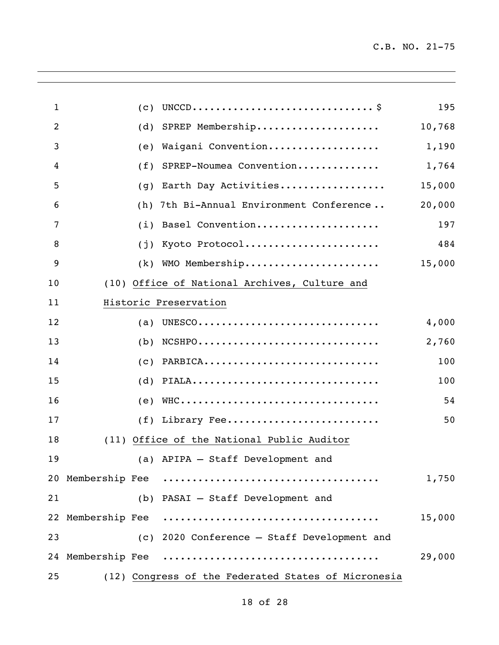$\mathbb{R}^2$ 

 $\overline{a}$ 

| $\mathbf{1}$   | (C) |                                                                                | 195    |
|----------------|-----|--------------------------------------------------------------------------------|--------|
| $\overline{2}$ | (d) | SPREP Membership                                                               | 10,768 |
| 3              | (e) | Waigani Convention                                                             | 1,190  |
| 4              | (f) | SPREP-Noumea Convention                                                        | 1,764  |
| 5              | (g) | Earth Day Activities                                                           | 15,000 |
| 6              | (h) | 7th Bi-Annual Environment Conference                                           | 20,000 |
| $\overline{7}$ | (i) | Basel Convention                                                               | 197    |
| 8              | (j) | Kyoto Protocol                                                                 | 484    |
| 9              | (k) | WMO Membership                                                                 | 15,000 |
| 10             |     | (10) Office of National Archives, Culture and                                  |        |
| 11             |     | Historic Preservation                                                          |        |
| 12             | (a) | UNESCO                                                                         | 4,000  |
| 13             | (b) | $NCSHPO \ldots \ldots \ldots \ldots \ldots \ldots \ldots \ldots \ldots \ldots$ | 2,760  |
| 14             | (c) | PARBICA                                                                        | 100    |
| 15             | (d) | PIALA                                                                          | 100    |
| 16             | (e) | WHC                                                                            | 54     |
| 17             | (f) | Library Fee                                                                    | 50     |
| 18             |     | (11) Office of the National Public Auditor                                     |        |
| 19             |     | (a) APIPA - Staff Development and                                              |        |
|                |     |                                                                                | 1,750  |
| 21             |     | (b) PASAI - Staff Development and                                              |        |
|                |     |                                                                                | 15,000 |
| 23             |     | (c) 2020 Conference - Staff Development and                                    |        |
|                |     |                                                                                | 29,000 |
| 25             |     | (12) Congress of the Federated States of Micronesia                            |        |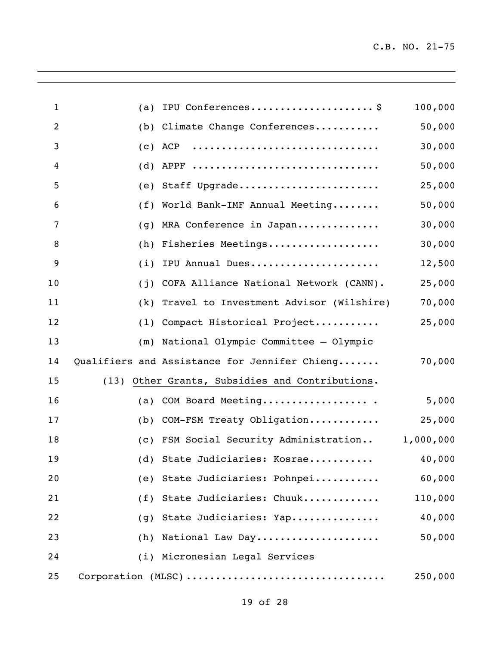$\mathbb{R}^2$ 

| $\mathbf{1}$   | (a) | IPU Conferences\$                               | 100,000   |
|----------------|-----|-------------------------------------------------|-----------|
| $\overline{2}$ | (b) | Climate Change Conferences                      | 50,000    |
| 3              | (c) | ACP                                             | 30,000    |
| 4              | (d) | APPF                                            | 50,000    |
| 5              | (e) | Staff Upgrade                                   | 25,000    |
| 6              | (f) | World Bank-IMF Annual Meeting                   | 50,000    |
| $\overline{7}$ | (g) | MRA Conference in Japan                         | 30,000    |
| 8              | (h) | Fisheries Meetings                              | 30,000    |
| 9              | (i) | IPU Annual Dues                                 | 12,500    |
| 10             | (j) | COFA Alliance National Network (CANN).          | 25,000    |
| 11             | (k) | Travel to Investment Advisor (Wilshire)         | 70,000    |
| 12             | (1) | Compact Historical Project                      | 25,000    |
| 13             | (m) | National Olympic Committee - Olympic            |           |
| 14             |     | Qualifiers and Assistance for Jennifer Chieng   | 70,000    |
| 15             |     | (13) Other Grants, Subsidies and Contributions. |           |
| 16             | (a) | COM Board Meeting                               | 5,000     |
| 17             | (b) | COM-FSM Treaty Obligation                       | 25,000    |
| 18             |     | (c) FSM Social Security Administration          | 1,000,000 |
| 19             |     | (d) State Judiciaries: Kosrae                   | 40,000    |
| 20             |     | (e) State Judiciaries: Pohnpei                  | 60,000    |
| 21             |     | (f) State Judiciaries: Chuuk                    | 110,000   |
| 22             | (g) | State Judiciaries: Yap                          | 40,000    |
| 23             | (h) | National Law Day                                | 50,000    |
| 24             |     | (i) Micronesian Legal Services                  |           |
| 25             |     | Corporation (MLSC)                              | 250,000   |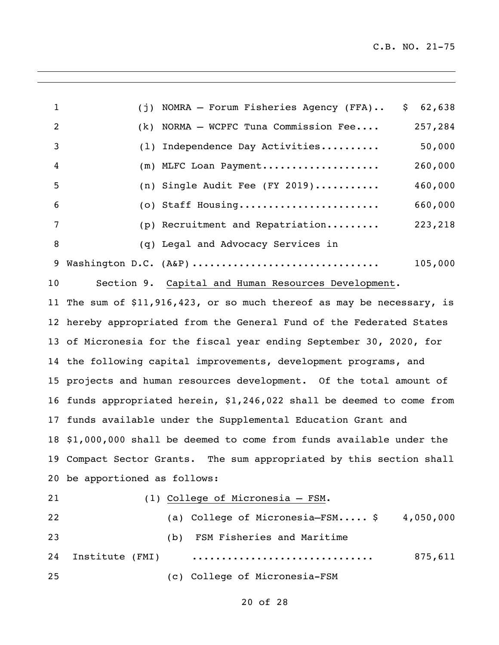| $\mathbf{1}$   | NOMRA - Forum Fisheries Agency (FFA)<br>62,638<br>\$<br>(i)           |  |  |  |  |  |
|----------------|-----------------------------------------------------------------------|--|--|--|--|--|
| $\overline{c}$ | NORMA - WCPFC Tuna Commission Fee<br>257,284<br>(k)                   |  |  |  |  |  |
| 3              | Independence Day Activities<br>50,000<br>(1)                          |  |  |  |  |  |
| 4              | (m) MLFC Loan Payment<br>260,000                                      |  |  |  |  |  |
| 5              | (n) Single Audit Fee (FY 2019)<br>460,000                             |  |  |  |  |  |
| 6              | (o) Staff Housing<br>660,000                                          |  |  |  |  |  |
| 7              | 223,218<br>(p) Recruitment and Repatriation                           |  |  |  |  |  |
| 8              | (q) Legal and Advocacy Services in                                    |  |  |  |  |  |
| 9              | 105,000<br>Washington D.C. (A&P)                                      |  |  |  |  |  |
| 10             | Section 9. Capital and Human Resources Development.                   |  |  |  |  |  |
| 11             | The sum of \$11,916,423, or so much thereof as may be necessary, is   |  |  |  |  |  |
|                | 12 hereby appropriated from the General Fund of the Federated States  |  |  |  |  |  |
|                | 13 of Micronesia for the fiscal year ending September 30, 2020, for   |  |  |  |  |  |
|                | 14 the following capital improvements, development programs, and      |  |  |  |  |  |
|                | 15 projects and human resources development. Of the total amount of   |  |  |  |  |  |
| 16             | funds appropriated herein, \$1,246,022 shall be deemed to come from   |  |  |  |  |  |
| 17             | funds available under the Supplemental Education Grant and            |  |  |  |  |  |
|                | 18 \$1,000,000 shall be deemed to come from funds available under the |  |  |  |  |  |
| 19             | Compact Sector Grants. The sum appropriated by this section shall     |  |  |  |  |  |
|                | 20 be apportioned as follows:                                         |  |  |  |  |  |
| 21             | (1) College of Micronesia - FSM.                                      |  |  |  |  |  |

| 22  |                 |     | (a) College of Micronesia— $\text{FSM}\ldots$ . \$4,050,000 |         |
|-----|-----------------|-----|-------------------------------------------------------------|---------|
| 23  |                 | (b) | FSM Fisheries and Maritime                                  |         |
| 24  | Institute (FMI) |     |                                                             | 875,611 |
| -25 |                 |     | (c) College of Micronesia-FSM                               |         |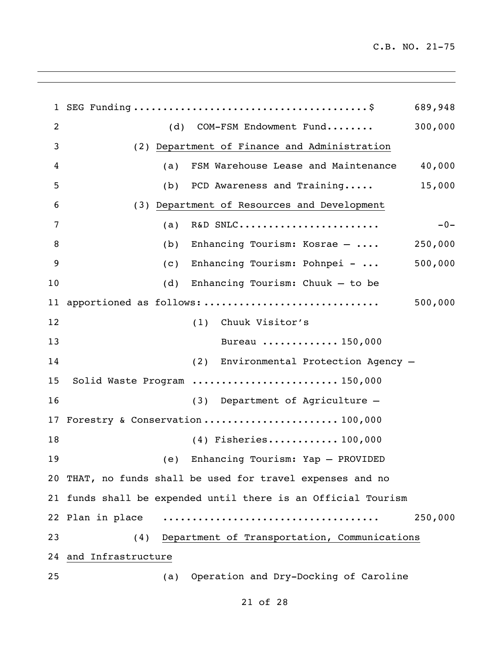SEG Funding ........................................\$ 689,948 (d) COM-FSM Endowment Fund........ 300,000 (2) Department of Finance and Administration (a) FSM Warehouse Lease and Maintenance 40,000 (b) PCD Awareness and Training..... 15,000 (3) Department of Resources and Development (a) R&D SNLC........................ -0- (b) Enhancing Tourism: Kosrae – .... 250,000 (c) Enhancing Tourism: Pohnpei - ... 500,000 (d) Enhancing Tourism: Chuuk – to be apportioned as follows: .............................. 500,000 (1) Chuuk Visitor's Bureau ............. 150,000 (2) Environmental Protection Agency – Solid Waste Program ......................... 150,000 (3) Department of Agriculture – 17 Forestry & Conservation........................ 100,000 (4) Fisheries............ 100,000 (e) Enhancing Tourism: Yap – PROVIDED THAT, no funds shall be used for travel expenses and no funds shall be expended until there is an Official Tourism Plan in place ..................................... 250,000 (4) Department of Transportation, Communications and Infrastructure (a) Operation and Dry-Docking of Caroline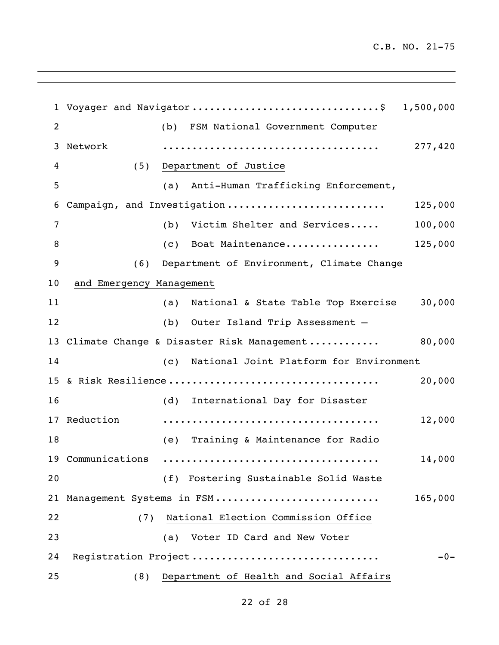Voyager and Navigator ................................\$ 1,500,000 2 (b) FSM National Government Computer Network ..................................... 277,420 (5) Department of Justice (a) Anti-Human Trafficking Enforcement, Campaign, and Investigation ........................... 125,000 (b) Victim Shelter and Services..... 100,000 (c) Boat Maintenance................ 125,000 (6) Department of Environment, Climate Change and Emergency Management (a) National & State Table Top Exercise 30,000 (b) Outer Island Trip Assessment – Climate Change & Disaster Risk Management ............ 80,000 (c) National Joint Platform for Environment & Risk Resilience .................................... 20,000 (d) International Day for Disaster Reduction ..................................... 12,000 (e) Training & Maintenance for Radio Communications ..................................... 14,000 (f) Fostering Sustainable Solid Waste Management Systems in FSM ............................ 165,000 22 (7) National Election Commission Office (a) Voter ID Card and New Voter Registration Project ................................ -0- 25 (8) Department of Health and Social Affairs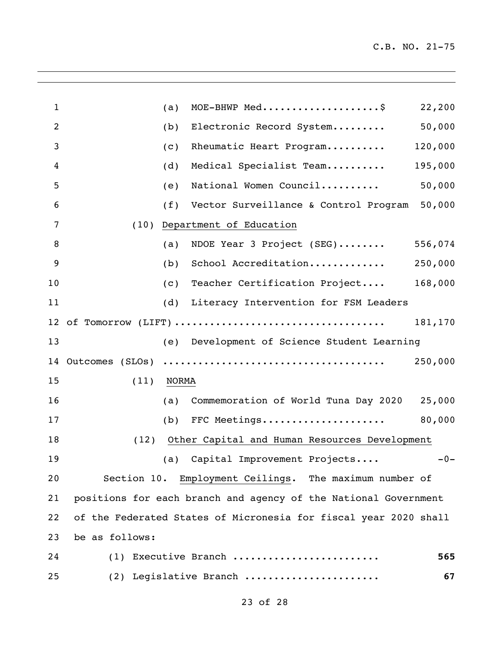$\mathbb{R}^2$ 

| $\mathbf{1}$   |                 | (a)   | MOE-BHWP Med\$                                                   | 22,200  |
|----------------|-----------------|-------|------------------------------------------------------------------|---------|
| $\overline{2}$ |                 | (b)   | Electronic Record System                                         | 50,000  |
| 3              |                 | (c)   | Rheumatic Heart Program                                          | 120,000 |
| 4              |                 | (d)   | Medical Specialist Team                                          | 195,000 |
| 5              |                 | (e)   | National Women Council                                           | 50,000  |
| 6              |                 | (f)   | Vector Surveillance & Control Program                            | 50,000  |
| 7              | (10)            |       | Department of Education                                          |         |
| 8              |                 | (a)   | NDOE Year 3 Project (SEG) 556,074                                |         |
| 9              |                 | (b)   | School Accreditation                                             | 250,000 |
| 10             |                 | (c)   | Teacher Certification Project                                    | 168,000 |
| 11             |                 | (d)   | Literacy Intervention for FSM Leaders                            |         |
|                |                 |       |                                                                  | 181,170 |
| 13             |                 |       | (e) Development of Science Student Learning                      |         |
| 14             | Outcomes (SLOs) |       |                                                                  | 250,000 |
| 15             | (11)            | NORMA |                                                                  |         |
| 16             |                 | (a)   | Commemoration of World Tuna Day 2020 25,000                      |         |
| 17             |                 | (b)   | FFC Meetings                                                     | 80,000  |
| 18             | (12)            |       | Other Capital and Human Resources Development                    |         |
| 19             |                 |       | (a) Capital Improvement Projects                                 | $-0-$   |
| 20             |                 |       | Section 10. Employment Ceilings. The maximum number of           |         |
| 21             |                 |       | positions for each branch and agency of the National Government  |         |
| 22             |                 |       | of the Federated States of Micronesia for fiscal year 2020 shall |         |
| 23             | be as follows:  |       |                                                                  |         |
| 24             |                 |       | (1) Executive Branch                                             | 565     |
| 25             |                 |       | (2) Legislative Branch                                           | 67      |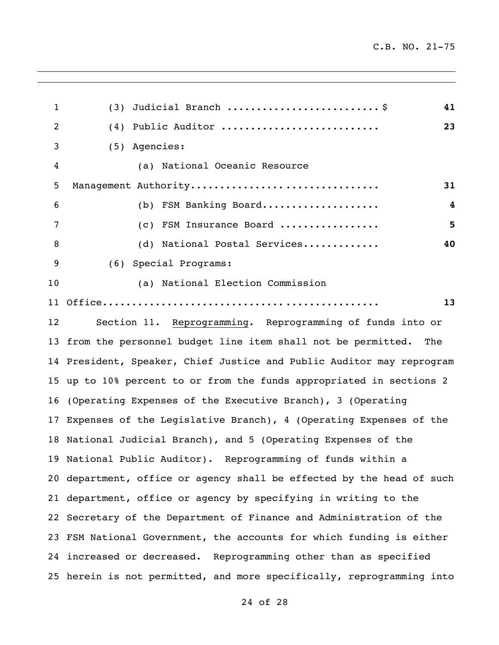$\mathbb{R}^2$ 

 $\overline{a}$ 

| $\mathbf{1}$ | Judicial Branch \$<br>41<br>(3)                                       |
|--------------|-----------------------------------------------------------------------|
| 2            | Public Auditor<br>23<br>(4)                                           |
| 3            | (5) Agencies:                                                         |
| 4            | (a) National Oceanic Resource                                         |
| 5            | Management Authority<br>31                                            |
| 6            | (b) FSM Banking Board<br>4                                            |
| 7            | 5<br>(c) FSM Insurance Board                                          |
| 8            | (d) National Postal Services<br>40                                    |
| 9            | Special Programs:<br>(6)                                              |
| 10           | (a) National Election Commission                                      |
| 11           | 13                                                                    |
| 12           | Section 11. Reprogramming. Reprogramming of funds into or             |
| 13           | from the personnel budget line item shall not be permitted.<br>The    |
|              | 14 President, Speaker, Chief Justice and Public Auditor may reprogram |
|              | 15 up to 10% percent to or from the funds appropriated in sections 2  |
| 16           | (Operating Expenses of the Executive Branch), 3 (Operating            |
| 17           | Expenses of the Legislative Branch), 4 (Operating Expenses of the     |
| 18           | National Judicial Branch), and 5 (Operating Expenses of the           |
|              | 19 National Public Auditor). Reprogramming of funds within a          |
|              | 20 department, office or agency shall be effected by the head of such |
|              | 21 department, office or agency by specifying in writing to the       |
|              | 22 Secretary of the Department of Finance and Administration of the   |
|              | 23 FSM National Government, the accounts for which funding is either  |
|              | 24 increased or decreased. Reprogramming other than as specified      |
|              | 25 herein is not permitted, and more specifically, reprogramming into |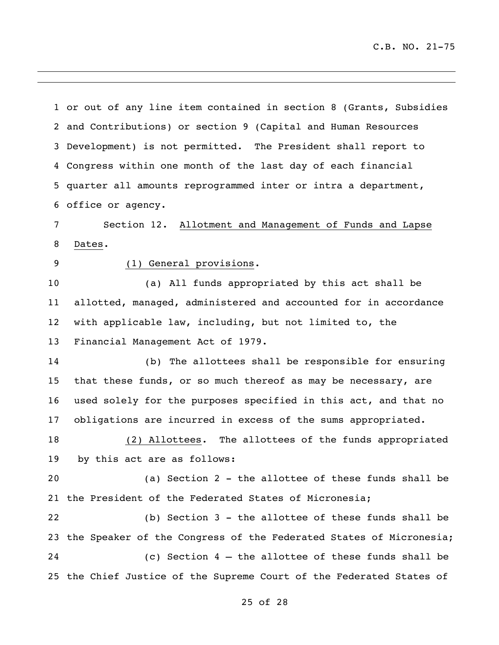or out of any line item contained in section 8 (Grants, Subsidies and Contributions) or section 9 (Capital and Human Resources Development) is not permitted. The President shall report to Congress within one month of the last day of each financial quarter all amounts reprogrammed inter or intra a department, office or agency. Section 12. Allotment and Management of Funds and Lapse Dates. (1) General provisions. (a) All funds appropriated by this act shall be allotted, managed, administered and accounted for in accordance with applicable law, including, but not limited to, the Financial Management Act of 1979. (b) The allottees shall be responsible for ensuring that these funds, or so much thereof as may be necessary, are used solely for the purposes specified in this act, and that no obligations are incurred in excess of the sums appropriated. (2) Allottees. The allottees of the funds appropriated by this act are as follows: (a) Section 2 - the allottee of these funds shall be the President of the Federated States of Micronesia; (b) Section 3 - the allottee of these funds shall be the Speaker of the Congress of the Federated States of Micronesia; (c) Section 4 – the allottee of these funds shall be

the Chief Justice of the Supreme Court of the Federated States of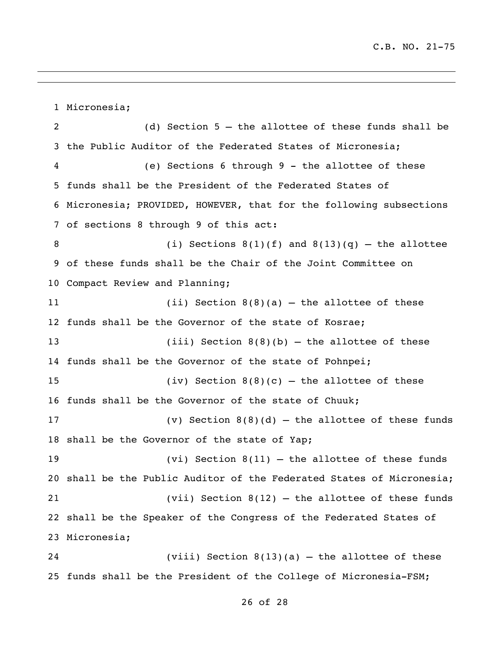Micronesia; (d) Section 5 – the allottee of these funds shall be the Public Auditor of the Federated States of Micronesia; (e) Sections 6 through 9 - the allottee of these funds shall be the President of the Federated States of Micronesia; PROVIDED, HOWEVER, that for the following subsections of sections 8 through 9 of this act: 8 (i) Sections  $8(1)(f)$  and  $8(13)(q)$  – the allottee of these funds shall be the Chair of the Joint Committee on Compact Review and Planning; (ii) Section 8(8)(a) – the allottee of these funds shall be the Governor of the state of Kosrae; (iii) Section 8(8)(b) – the allottee of these funds shall be the Governor of the state of Pohnpei; (iv) Section 8(8)(c) – the allottee of these funds shall be the Governor of the state of Chuuk; (v) Section 8(8)(d) – the allottee of these funds shall be the Governor of the state of Yap; (vi) Section 8(11) – the allottee of these funds shall be the Public Auditor of the Federated States of Micronesia; (vii) Section 8(12) – the allottee of these funds shall be the Speaker of the Congress of the Federated States of Micronesia; (viii) Section 8(13)(a) – the allottee of these funds shall be the President of the College of Micronesia-FSM;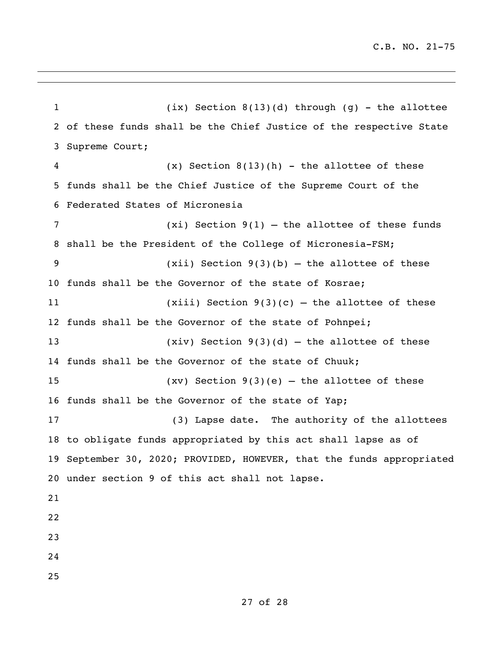(ix) Section 8(13)(d) through (g) - the allottee of these funds shall be the Chief Justice of the respective State Supreme Court; (x) Section 8(13)(h) - the allottee of these funds shall be the Chief Justice of the Supreme Court of the Federated States of Micronesia (xi) Section 9(1) – the allottee of these funds shall be the President of the College of Micronesia-FSM; (xii) Section 9(3)(b) – the allottee of these funds shall be the Governor of the state of Kosrae; (xiii) Section 9(3)(c) – the allottee of these funds shall be the Governor of the state of Pohnpei; (xiv) Section 9(3)(d) – the allottee of these funds shall be the Governor of the state of Chuuk; (xv) Section 9(3)(e) – the allottee of these funds shall be the Governor of the state of Yap; (3) Lapse date. The authority of the allottees to obligate funds appropriated by this act shall lapse as of September 30, 2020; PROVIDED, HOWEVER, that the funds appropriated under section 9 of this act shall not lapse.